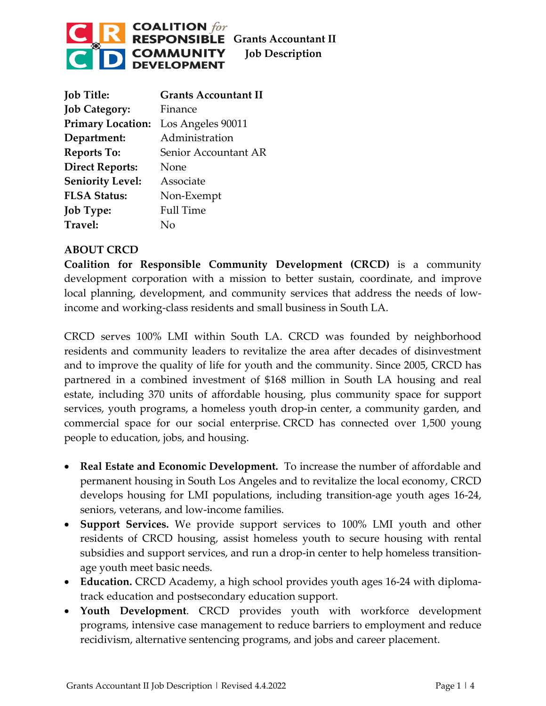

| <b>Job Title:</b>        | <b>Grants Accountant II</b> |
|--------------------------|-----------------------------|
| <b>Job Category:</b>     | Finance                     |
| <b>Primary Location:</b> | Los Angeles 90011           |
| Department:              | Administration              |
| <b>Reports To:</b>       | Senior Accountant AR        |
| <b>Direct Reports:</b>   | None                        |
| <b>Seniority Level:</b>  | Associate                   |
| <b>FLSA Status:</b>      | Non-Exempt                  |
| <b>Job Type:</b>         | <b>Full Time</b>            |
| Travel:                  | Nο                          |

## **ABOUT CRCD**

**Coalition for Responsible Community Development (CRCD)** is a community development corporation with a mission to better sustain, coordinate, and improve local planning, development, and community services that address the needs of lowincome and working-class residents and small business in South LA.

CRCD serves 100% LMI within South LA. CRCD was founded by neighborhood residents and community leaders to revitalize the area after decades of disinvestment and to improve the quality of life for youth and the community. Since 2005, CRCD has partnered in a combined investment of \$168 million in South LA housing and real estate, including 370 units of affordable housing, plus community space for support services, youth programs, a homeless youth drop-in center, a community garden, and commercial space for our social enterprise. CRCD has connected over 1,500 young people to education, jobs, and housing.

- **Real Estate and Economic Development.** To increase the number of affordable and permanent housing in South Los Angeles and to revitalize the local economy, CRCD develops housing for LMI populations, including transition-age youth ages 16-24, seniors, veterans, and low-income families.
- **Support Services.** We provide support services to 100% LMI youth and other residents of CRCD housing, assist homeless youth to secure housing with rental subsidies and support services, and run a drop-in center to help homeless transitionage youth meet basic needs.
- **Education.** CRCD Academy, a high school provides youth ages 16-24 with diplomatrack education and postsecondary education support.
- **Youth Development**. CRCD provides youth with workforce development programs, intensive case management to reduce barriers to employment and reduce recidivism, alternative sentencing programs, and jobs and career placement.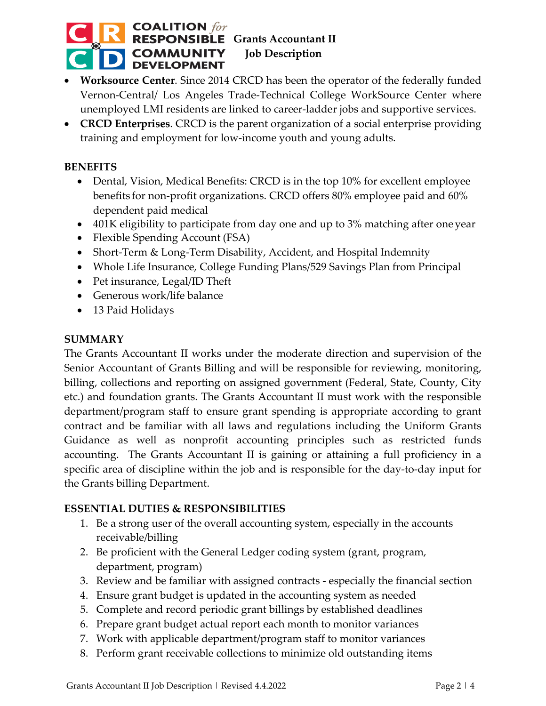## **COALITION**  $for$ **RESPONSIBLE** Grants Accountant II **COMMUNITY** Job Description<br>DEVELOPMENT

- **Worksource Center**. Since 2014 CRCD has been the operator of the federally funded Vernon-Central/ Los Angeles Trade-Technical College WorkSource Center where unemployed LMI residents are linked to career-ladder jobs and supportive services.
- **CRCD Enterprises**. CRCD is the parent organization of a social enterprise providing training and employment for low-income youth and young adults.

## **BENEFITS**

- Dental, Vision, Medical Benefits: CRCD is in the top 10% for excellent employee benefits for non-profit organizations. CRCD offers 80% employee paid and 60% dependent paid medical
- 401K eligibility to participate from day one and up to 3% matching after one year
- Flexible Spending Account (FSA)
- Short-Term & Long-Term Disability, Accident, and Hospital Indemnity
- Whole Life Insurance, College Funding Plans/529 Savings Plan from Principal
- Pet insurance, Legal/ID Theft
- Generous work/life balance
- 13 Paid Holidays

### **SUMMARY**

The Grants Accountant II works under the moderate direction and supervision of the Senior Accountant of Grants Billing and will be responsible for reviewing, monitoring, billing, collections and reporting on assigned government (Federal, State, County, City etc.) and foundation grants. The Grants Accountant II must work with the responsible department/program staff to ensure grant spending is appropriate according to grant contract and be familiar with all laws and regulations including the Uniform Grants Guidance as well as nonprofit accounting principles such as restricted funds accounting. The Grants Accountant II is gaining or attaining a full proficiency in a specific area of discipline within the job and is responsible for the day-to-day input for the Grants billing Department.

## **ESSENTIAL DUTIES & RESPONSIBILITIES**

- 1. Be a strong user of the overall accounting system, especially in the accounts receivable/billing
- 2. Be proficient with the General Ledger coding system (grant, program, department, program)
- 3. Review and be familiar with assigned contracts especially the financial section
- 4. Ensure grant budget is updated in the accounting system as needed
- 5. Complete and record periodic grant billings by established deadlines
- 6. Prepare grant budget actual report each month to monitor variances
- 7. Work with applicable department/program staff to monitor variances
- 8. Perform grant receivable collections to minimize old outstanding items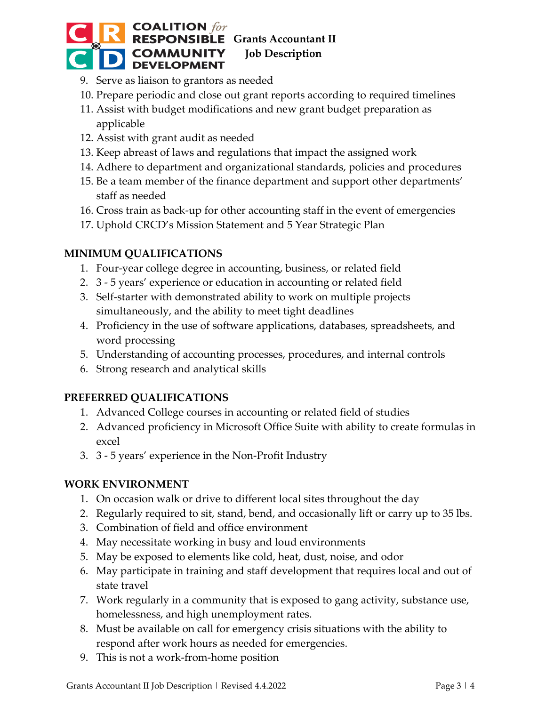# **COALITION** for<br>**RESPONSIBLE** Grants Accountant II **COMMUNITY** Job Description **DEVELOPMENT**

- 9. Serve as liaison to grantors as needed
- 10. Prepare periodic and close out grant reports according to required timelines
- 11. Assist with budget modifications and new grant budget preparation as applicable
- 12. Assist with grant audit as needed
- 13. Keep abreast of laws and regulations that impact the assigned work
- 14. Adhere to department and organizational standards, policies and procedures
- 15. Be a team member of the finance department and support other departments' staff as needed
- 16. Cross train as back-up for other accounting staff in the event of emergencies
- 17. Uphold CRCD's Mission Statement and 5 Year Strategic Plan

## **MINIMUM QUALIFICATIONS**

- 1. Four-year college degree in accounting, business, or related field
- 2. 3 5 years' experience or education in accounting or related field
- 3. Self-starter with demonstrated ability to work on multiple projects simultaneously, and the ability to meet tight deadlines
- 4. Proficiency in the use of software applications, databases, spreadsheets, and word processing
- 5. Understanding of accounting processes, procedures, and internal controls
- 6. Strong research and analytical skills

## **PREFERRED QUALIFICATIONS**

- 1. Advanced College courses in accounting or related field of studies
- 2. Advanced proficiency in Microsoft Office Suite with ability to create formulas in excel
- 3. 3 5 years' experience in the Non-Profit Industry

## **WORK ENVIRONMENT**

- 1. On occasion walk or drive to different local sites throughout the day
- 2. Regularly required to sit, stand, bend, and occasionally lift or carry up to 35 lbs.
- 3. Combination of field and office environment
- 4. May necessitate working in busy and loud environments
- 5. May be exposed to elements like cold, heat, dust, noise, and odor
- 6. May participate in training and staff development that requires local and out of state travel
- 7. Work regularly in a community that is exposed to gang activity, substance use, homelessness, and high unemployment rates.
- 8. Must be available on call for emergency crisis situations with the ability to respond after work hours as needed for emergencies.
- 9. This is not a work-from-home position